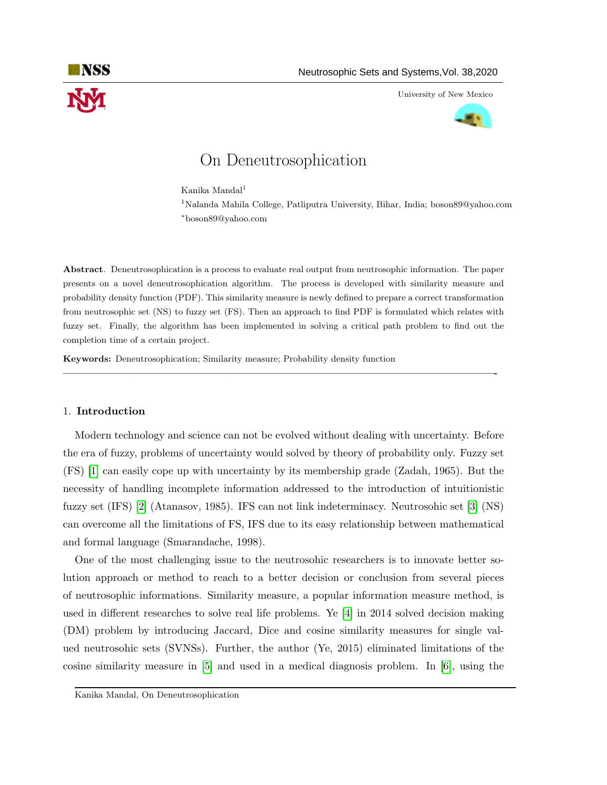

University of New Mexico



# On Deneutrosophication

Kanika Mandal<sup>1</sup>

<sup>1</sup>Nalanda Mahila College, Patliputra University, Bihar, India; boson89@yahoo.com <sup>∗</sup>boson89@yahoo.com

Abstract. Deneutrosophication is a process to evaluate real output from neutrosophic information. The paper presents on a novel deneutrosophication algorithm. The process is developed with similarity measure and probability density function (PDF). This similarity measure is newly defined to prepare a correct transformation from neutrosophic set (NS) to fuzzy set (FS). Then an approach to find PDF is formulated which relates with fuzzy set. Finally, the algorithm has been implemented in solving a critical path problem to find out the completion time of a certain project.

—————————————————————————————————————————-

Keywords: Deneutrosophication; Similarity measure; Probability density function

## 1. Introduction

Modern technology and science can not be evolved without dealing with uncertainty. Before the era of fuzzy, problems of uncertainty would solved by theory of probability only. Fuzzy set (FS) [\[1\]](#page-11-0) can easily cope up with uncertainty by its membership grade (Zadah, 1965). But the necessity of handling incomplete information addressed to the introduction of intuitionistic fuzzy set (IFS) [\[2\]](#page-11-1) (Atanasov, 1985). IFS can not link indeterminacy. Neutrosohic set [\[3\]](#page-11-2) (NS) can overcome all the limitations of FS, IFS due to its easy relationship between mathematical and formal language (Smarandache, 1998).

One of the most challenging issue to the neutrosohic researchers is to innovate better solution approach or method to reach to a better decision or conclusion from several pieces of neutrosophic informations. Similarity measure, a popular information measure method, is used in different researches to solve real life problems. Ye [\[4\]](#page-11-3) in 2014 solved decision making (DM) problem by introducing Jaccard, Dice and cosine similarity measures for single valued neutrosohic sets (SVNSs). Further, the author (Ye, 2015) eliminated limitations of the cosine similarity measure in [\[5\]](#page-11-4) and used in a medical diagnosis problem. In [\[6\]](#page-11-5), using the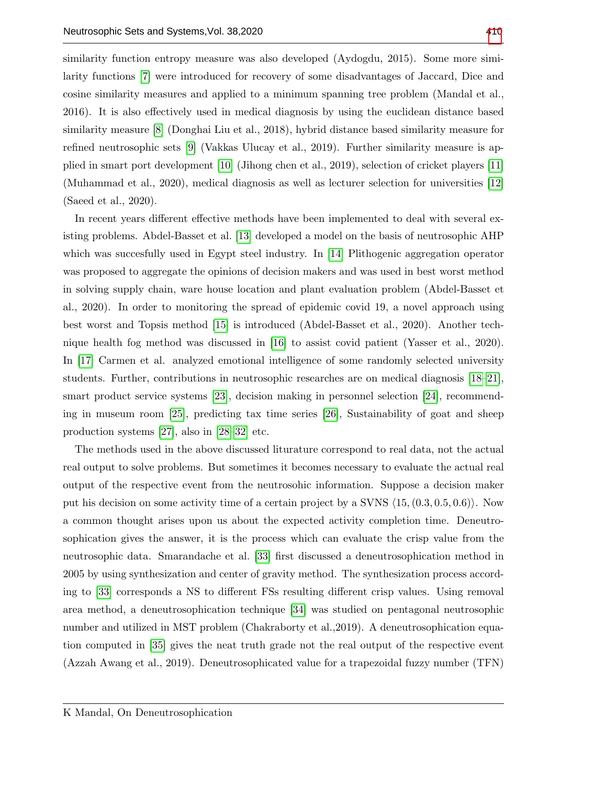similarity function entropy measure was also developed (Aydogdu, 2015). Some more similarity functions [\[7\]](#page-11-6) were introduced for recovery of some disadvantages of Jaccard, Dice and cosine similarity measures and applied to a minimum spanning tree problem (Mandal et al., 2016). It is also effectively used in medical diagnosis by using the euclidean distance based similarity measure [\[8\]](#page-11-7) (Donghai Liu et al., 2018), hybrid distance based similarity measure for refined neutrosophic sets [\[9\]](#page-11-8) (Vakkas Ulucay et al., 2019). Further similarity measure is applied in smart port development [\[10\]](#page-11-9) (Jihong chen et al., 2019), selection of cricket players [\[11\]](#page-11-10) (Muhammad et al., 2020), medical diagnosis as well as lecturer selection for universities [\[12\]](#page-11-11) (Saeed et al., 2020).

In recent years different effective methods have been implemented to deal with several existing problems. Abdel-Basset et al. [\[13\]](#page-11-12) developed a model on the basis of neutrosophic AHP which was succesfully used in Egypt steel industry. In [\[14\]](#page-11-13) Plithogenic aggregation operator was proposed to aggregate the opinions of decision makers and was used in best worst method in solving supply chain, ware house location and plant evaluation problem (Abdel-Basset et al., 2020). In order to monitoring the spread of epidemic covid 19, a novel approach using best worst and Topsis method [\[15\]](#page-11-14) is introduced (Abdel-Basset et al., 2020). Another technique health fog method was discussed in [\[16\]](#page-12-0) to assist covid patient (Yasser et al., 2020). In [\[17\]](#page-12-1) Carmen et al. analyzed emotional intelligence of some randomly selected university students. Further, contributions in neutrosophic researches are on medical diagnosis [\[18–](#page-12-2)[21\]](#page-12-3), smart product service systems [\[23\]](#page-12-4), decision making in personnel selection [\[24\]](#page-12-5), recommending in museum room [\[25\]](#page-12-6), predicting tax time series [\[26\]](#page-12-7), Sustainability of goat and sheep production systems [\[27\]](#page-12-8), also in [\[28–](#page-12-9)[32\]](#page-12-10) etc.

The methods used in the above discussed liturature correspond to real data, not the actual real output to solve problems. But sometimes it becomes necessary to evaluate the actual real output of the respective event from the neutrosohic information. Suppose a decision maker put his decision on some activity time of a certain project by a SVNS  $(15, (0.3, 0.5, 0.6))$ . Now a common thought arises upon us about the expected activity completion time. Deneutrosophication gives the answer, it is the process which can evaluate the crisp value from the neutrosophic data. Smarandache et al. [\[33\]](#page-12-11) first discussed a deneutrosophication method in 2005 by using synthesization and center of gravity method. The synthesization process according to [\[33\]](#page-12-11) corresponds a NS to different FSs resulting different crisp values. Using removal area method, a deneutrosophication technique [\[34\]](#page-12-12) was studied on pentagonal neutrosophic number and utilized in MST problem (Chakraborty et al.,2019). A deneutrosophication equation computed in [\[35\]](#page-12-13) gives the neat truth grade not the real output of the respective event (Azzah Awang et al., 2019). Deneutrosophicated value for a trapezoidal fuzzy number (TFN)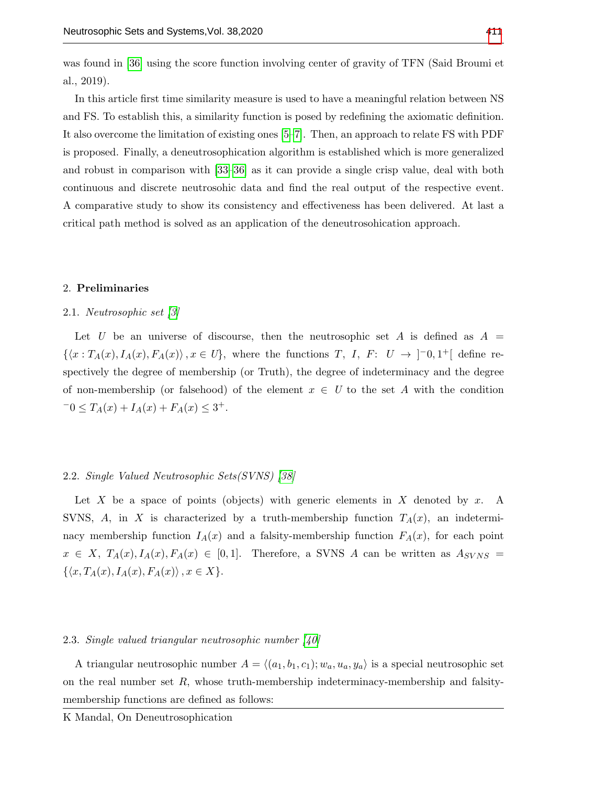was found in [\[36\]](#page-13-1) using the score function involving center of gravity of TFN (Said Broumi et al., 2019).

In this article first time similarity measure is used to have a meaningful relation between NS and FS. To establish this, a similarity function is posed by redefining the axiomatic definition. It also overcome the limitation of existing ones [\[5–](#page-11-4)[7\]](#page-11-6). Then, an approach to relate FS with PDF is proposed. Finally, a deneutrosophication algorithm is established which is more generalized and robust in comparison with [\[33–](#page-12-11)[36\]](#page-13-1) as it can provide a single crisp value, deal with both continuous and discrete neutrosohic data and find the real output of the respective event. A comparative study to show its consistency and effectiveness has been delivered. At last a critical path method is solved as an application of the deneutrosohication approach.

## 2. Preliminaries

#### 2.1. Neutrosophic set [\[3\]](#page-11-2)

Let U be an universe of discourse, then the neutrosophic set A is defined as  $A =$  $\{\langle x : T_A(x), I_A(x), F_A(x) \rangle, x \in U\},\$  where the functions T, I, F:  $U \to \ ]-0,1^+[$  define respectively the degree of membership (or Truth), the degree of indeterminacy and the degree of non-membership (or falsehood) of the element  $x \in U$  to the set A with the condition  $-0 \leq T_A(x) + I_A(x) + F_A(x) \leq 3^+.$ 

#### 2.2. Single Valued Neutrosophic Sets(SVNS) [\[38\]](#page-13-2)

Let X be a space of points (objects) with generic elements in X denoted by x. A SVNS, A, in X is characterized by a truth-membership function  $T_A(x)$ , an indeterminacy membership function  $I_A(x)$  and a falsity-membership function  $F_A(x)$ , for each point  $x \in X$ ,  $T_A(x)$ ,  $I_A(x)$ ,  $F_A(x) \in [0,1]$ . Therefore, a SVNS A can be written as  $A_{SVNS} =$  $\{\langle x, T_A(x), I_A(x), F_A(x)\rangle, x \in X\}.$ 

#### 2.3. Single valued triangular neutrosophic number [\[40\]](#page-13-3)

A triangular neutrosophic number  $A = \langle (a_1, b_1, c_1); w_a, u_a, y_a \rangle$  is a special neutrosophic set on the real number set  $R$ , whose truth-membership indeterminacy-membership and falsitymembership functions are defined as follows: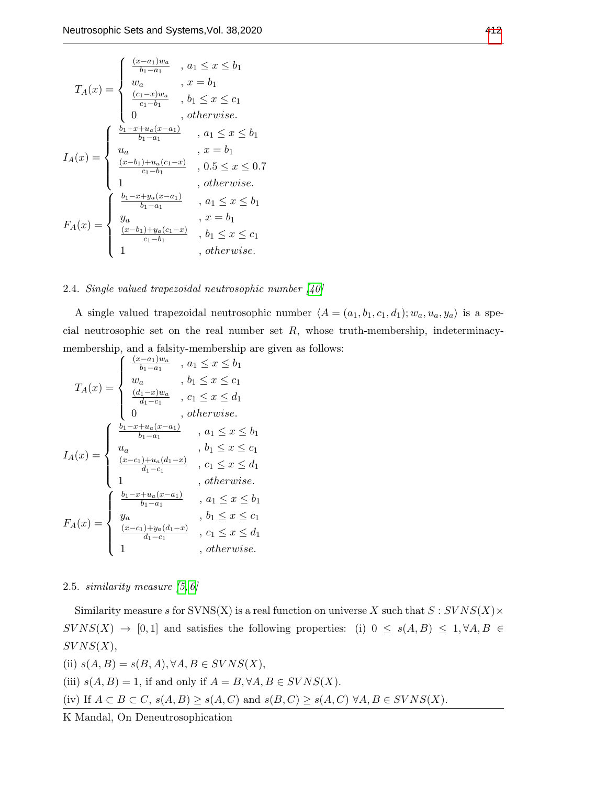$$
I_A(x) = \begin{cases} \frac{(x-a_1)w_a}{b_1-a_1} , a_1 \leq x \leq b_1\\ w_a , x = b_1\\ \frac{(c_1-x)w_a}{c_1-b_1} , b_1 \leq x \leq c_1\\ 0 , otherwise. \end{cases}
$$

$$
I_A(x) = \begin{cases} \frac{b_1-x+u_a(x-a_1)}{b_1-a_1} , a_1 \leq x \leq b_1\\ \frac{(x-b_1)+u_a(c_1-x)}{c_1-b_1} , 0.5 \leq x \leq 0.7\\ 1 , otherwise. \\ \frac{b_1-x+y_a(x-a_1)}{b_1-a_1} , a_1 \leq x \leq b_1\\ y_a , x = b_1\\ \frac{(x-b_1)+y_a(c_1-x)}{c_1-b_1} , b_1 \leq x \leq c_1\\ 1 , otherwise. \end{cases}
$$

## 2.4. Single valued trapezoidal neutrosophic number [\[40\]](#page-13-3)

A single valued trapezoidal neutrosophic number  $\langle A = (a_1, b_1, c_1, d_1); w_a, u_a, y_a \rangle$  is a special neutrosophic set on the real number set  $R$ , whose truth-membership, indeterminacymembership, and a falsity-membership are given as follows:

$$
I_A(x) = \begin{cases} \frac{(x-a_1)w_a}{b_1-a_1} & , a_1 \leq x \leq b_1 \\ w_a & , b_1 \leq x \leq c_1 \\ \frac{(d_1-x)w_a}{d_1-c_1} & , c_1 \leq x \leq d_1 \\ 0 & , otherwise. \end{cases}
$$

$$
I_A(x) = \begin{cases} \frac{b_1-x+u_a(x-a_1)}{b_1-a_1} & , a_1 \leq x \leq b_1 \\ \frac{(x-c_1)+u_a(d_1-x)}{d_1-c_1} & , c_1 \leq x \leq d_1 \\ 1 & , otherwise. \\ \frac{b_1-x+u_a(x-a_1)}{b_1-a_1} & , a_1 \leq x \leq b_1 \\ \frac{y_a}{b_1-a_1} & , b_1 \leq x \leq c_1 \\ \frac{(x-c_1)+y_a(d_1-x)}{d_1-c_1} & , c_1 \leq x \leq d_1 \\ 1 & , otherwise. \end{cases}
$$

<span id="page-3-0"></span>2.5. similarity measure [\[5,](#page-11-4) [6\]](#page-11-5)

Similarity measure s for  $SVNS(X)$  is a real function on universe X such that  $S:SVNS(X)$  $S V N S(X) \rightarrow [0, 1]$  and satisfies the following properties: (i)  $0 \le s(A, B) \le 1, \forall A, B \in$  $SVNS(X),$ 

(ii) 
$$
s(A, B) = s(B, A), \forall A, B \in SVNS(X)
$$
,  
(iii)  $s(A, B) = 1$ , if and only if  $A = B, \forall A, B \in SVNS(X)$ .  
(iv) If  $A \subset B \subset C$ ,  $s(A, B) \geq s(A, C)$  and  $s(B, C) \geq s(A, C) \forall A, B \in SVNS(X)$ .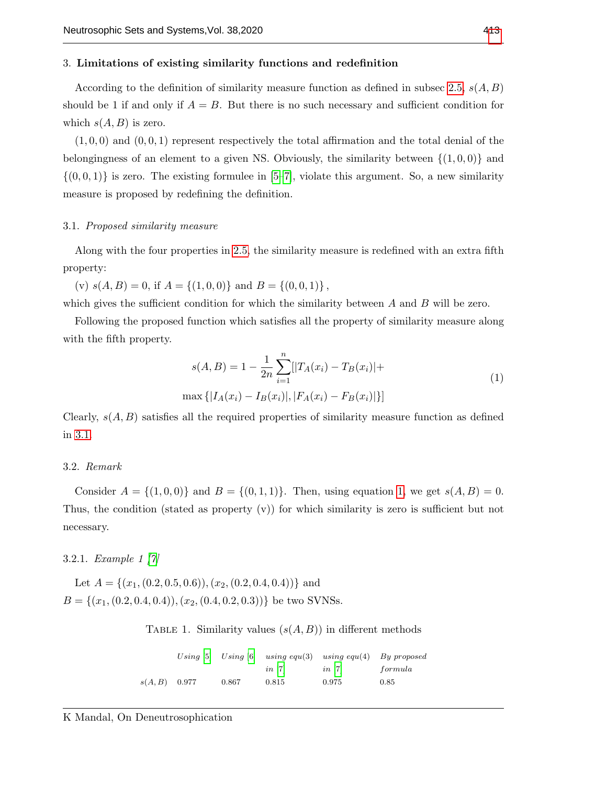## 3. Limitations of existing similarity functions and redefinition

According to the definition of similarity measure function as defined in subsec [2.5,](#page-3-0)  $s(A, B)$ should be 1 if and only if  $A = B$ . But there is no such necessary and sufficient condition for which  $s(A, B)$  is zero.

 $(1, 0, 0)$  and  $(0, 0, 1)$  represent respectively the total affirmation and the total denial of the belongingness of an element to a given NS. Obviously, the similarity between  $\{(1,0,0)\}$  and  $\{(0, 0, 1)\}\$ is zero. The existing formulee in [\[5–](#page-11-4)[7\]](#page-11-6), violate this argument. So, a new similarity measure is proposed by redefining the definition.

#### <span id="page-4-0"></span>3.1. Proposed similarity measure

Along with the four properties in [2.5,](#page-3-0) the similarity measure is redefined with an extra fifth property:

(v)  $s(A, B) = 0$ , if  $A = \{(1, 0, 0)\}$  and  $B = \{(0, 0, 1)\}$ ,

which gives the sufficient condition for which the similarity between  $A$  and  $B$  will be zero.

Following the proposed function which satisfies all the property of similarity measure along with the fifth property.

<span id="page-4-1"></span>
$$
s(A, B) = 1 - \frac{1}{2n} \sum_{i=1}^{n} [|T_A(x_i) - T_B(x_i)| +
$$
  

$$
\max \{|I_A(x_i) - I_B(x_i)|, |F_A(x_i) - F_B(x_i)|\}]
$$
 (1)

Clearly,  $s(A, B)$  satisfies all the required properties of similarity measure function as defined in [3.1.](#page-4-0)

## 3.2. Remark

Consider  $A = \{(1, 0, 0)\}\$ and  $B = \{(0, 1, 1)\}\$  $B = \{(0, 1, 1)\}\$  $B = \{(0, 1, 1)\}\$ . Then, using equation 1, we get  $s(A, B) = 0$ . Thus, the condition (stated as property (v)) for which similarity is zero is sufficient but not necessary.

# 3.2.1. Example 1 [\[7\]](#page-11-6)

Let  $A = \{(x_1, (0.2, 0.5, 0.6)), (x_2, (0.2, 0.4, 0.4))\}$  and  $B = \{(x_1, (0.2, 0.4, 0.4)), (x_2, (0.4, 0.2, 0.3))\}$  be two SVNSs.

TABLE 1. Similarity values  $(s(A, B))$  in different methods

|                 |       |                      | Using [5] Using [6] using equ(3) using equ(4) By proposed |         |
|-----------------|-------|----------------------|-----------------------------------------------------------|---------|
|                 |       | $in \lceil 7 \rceil$ | $in$ $ 7 $                                                | formula |
| $s(A, B)$ 0.977 | 0.867 | 0.815                | 0.975                                                     | 0.85    |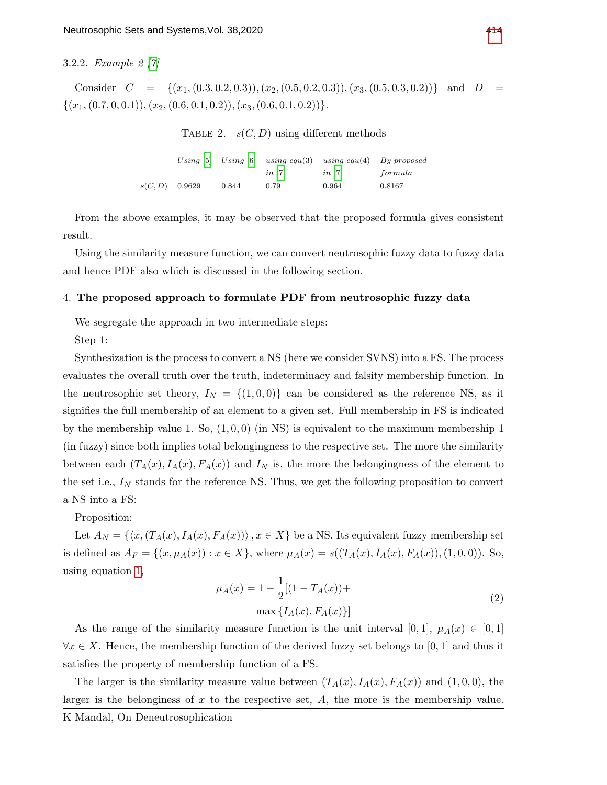## 3.2.2. Example 2 [\[7\]](#page-11-6)

Consider  $C = \{(x_1, (0.3, 0.2, 0.3)), (x_2, (0.5, 0.2, 0.3)), (x_3, (0.5, 0.3, 0.2))\}$  and  $D =$  $\{(x_1,(0.7,0,0.1)),(x_2,(0.6,0.1,0.2)),(x_3,(0.6,0.1,0.2))\}.$ 

TABLE 2.  $s(C, D)$  using different methods

|                  |       |                      | Using [5] Using $[6]$ using equ(3) using equ(4) By proposed |         |
|------------------|-------|----------------------|-------------------------------------------------------------|---------|
|                  |       | $in \lceil 7 \rceil$ | $in \lceil 7 \rceil$                                        | formula |
| $s(C, D)$ 0.9629 | 0.844 | 0.79                 | 0.964                                                       | 0.8167  |

From the above examples, it may be observed that the proposed formula gives consistent result.

Using the similarity measure function, we can convert neutrosophic fuzzy data to fuzzy data and hence PDF also which is discussed in the following section.

#### <span id="page-5-1"></span>4. The proposed approach to formulate PDF from neutrosophic fuzzy data

We segregate the approach in two intermediate steps:

Step 1:

Synthesization is the process to convert a NS (here we consider SVNS) into a FS. The process evaluates the overall truth over the truth, indeterminacy and falsity membership function. In the neutrosophic set theory,  $I_N = \{(1,0,0)\}$  can be considered as the reference NS, as it signifies the full membership of an element to a given set. Full membership in FS is indicated by the membership value 1. So,  $(1, 0, 0)$  (in NS) is equivalent to the maximum membership 1 (in fuzzy) since both implies total belongingness to the respective set. The more the similarity between each  $(T_A(x), I_A(x), F_A(x))$  and  $I_N$  is, the more the belongingness of the element to the set i.e.,  $I_N$  stands for the reference NS. Thus, we get the following proposition to convert a NS into a FS:

Proposition:

Let  $A_N = \{ \langle x, (T_A(x), I_A(x), F_A(x)) \rangle, x \in X \}$  be a NS. Its equivalent fuzzy membership set is defined as  $A_F = \{(x, \mu_A(x)) : x \in X\}$ , where  $\mu_A(x) = s((T_A(x), I_A(x), F_A(x)), (1, 0, 0))$ . So, using equation [1,](#page-4-1)

<span id="page-5-0"></span>
$$
\mu_A(x) = 1 - \frac{1}{2} [(1 - T_A(x)) +
$$
  

$$
\max \{ I_A(x), F_A(x) \}]
$$
 (2)

As the range of the similarity measure function is the unit interval [0, 1],  $\mu_A(x) \in [0,1]$  $\forall x \in X$ . Hence, the membership function of the derived fuzzy set belongs to [0, 1] and thus it satisfies the property of membership function of a FS.

The larger is the similarity measure value between  $(T_A(x), I_A(x), F_A(x))$  and  $(1, 0, 0)$ , the larger is the belonginess of  $x$  to the respective set,  $A$ , the more is the membership value.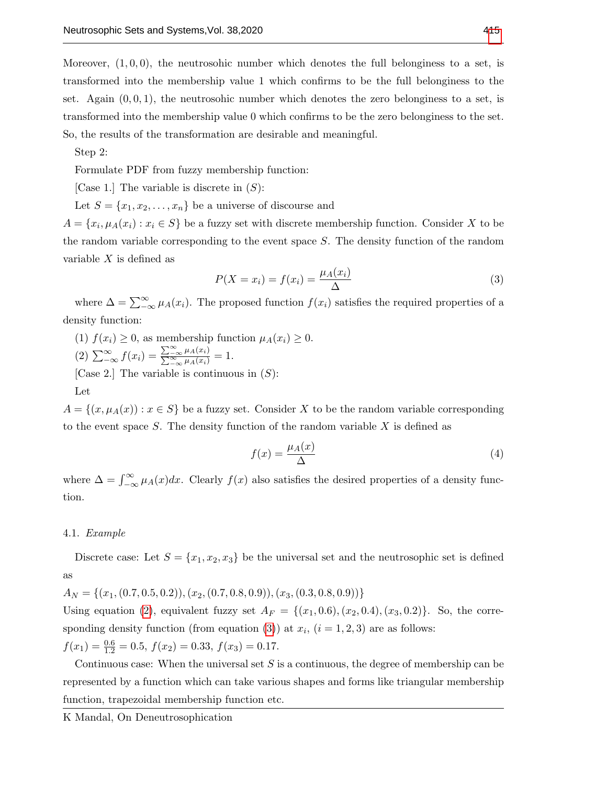Moreover,  $(1,0,0)$ , the neutrosohic number which denotes the full belonginess to a set, is transformed into the membership value 1 which confirms to be the full belonginess to the set. Again  $(0, 0, 1)$ , the neutrosohic number which denotes the zero belonginess to a set, is transformed into the membership value 0 which confirms to be the zero belonginess to the set. So, the results of the transformation are desirable and meaningful.

Step 2:

Formulate PDF from fuzzy membership function:

[Case 1.] The variable is discrete in  $(S)$ :

Let  $S = \{x_1, x_2, \ldots, x_n\}$  be a universe of discourse and

 $A = \{x_i, \mu_A(x_i) : x_i \in S\}$  be a fuzzy set with discrete membership function. Consider X to be the random variable corresponding to the event space S. The density function of the random variable  $X$  is defined as

<span id="page-6-0"></span>
$$
P(X = x_i) = f(x_i) = \frac{\mu_A(x_i)}{\Delta} \tag{3}
$$

where  $\Delta = \sum_{-\infty}^{\infty} \mu_A(x_i)$ . The proposed function  $f(x_i)$  satisfies the required properties of a density function:

(1)  $f(x_i) \geq 0$ , as membership function  $\mu_A(x_i) \geq 0$ . (2)  $\sum_{-\infty}^{\infty} f(x_i) = \frac{\sum_{-\infty}^{\infty} \mu_A(x_i)}{\sum_{-\infty}^{\infty} \mu_A(x_i)}$  $\frac{\sum_{-\infty}^{\infty} \mu_A(x_i)}{\sum_{-\infty}^{\infty} \mu_A(x_i)} = 1.$ [Case 2.] The variable is continuous in  $(S)$ :

Let

 $A = \{(x, \mu_A(x)) : x \in S\}$  be a fuzzy set. Consider X to be the random variable corresponding to the event space  $S$ . The density function of the random variable  $X$  is defined as

$$
f(x) = \frac{\mu_A(x)}{\Delta} \tag{4}
$$

where  $\Delta = \int_{-\infty}^{\infty} \mu_A(x) dx$ . Clearly  $f(x)$  also satisfies the desired properties of a density function.

#### <span id="page-6-1"></span>4.1. Example

Discrete case: Let  $S = \{x_1, x_2, x_3\}$  be the universal set and the neutrosophic set is defined as

 $A_N = \{(x_1, (0.7, 0.5, 0.2)), (x_2, (0.7, 0.8, 0.9)), (x_3, (0.3, 0.8, 0.9))\}$ Using equation [\(2\)](#page-5-0), equivalent fuzzy set  $A_F = \{(x_1, 0.6), (x_2, 0.4), (x_3, 0.2)\}\.$  So, the corre-sponding density function (from equation [\(3\)](#page-6-0)) at  $x_i$ ,  $(i = 1, 2, 3)$  are as follows:  $f(x_1) = \frac{0.6}{1.2} = 0.5, f(x_2) = 0.33, f(x_3) = 0.17.$ 

Continuous case: When the universal set  $S$  is a continuous, the degree of membership can be represented by a function which can take various shapes and forms like triangular membership function, trapezoidal membership function etc.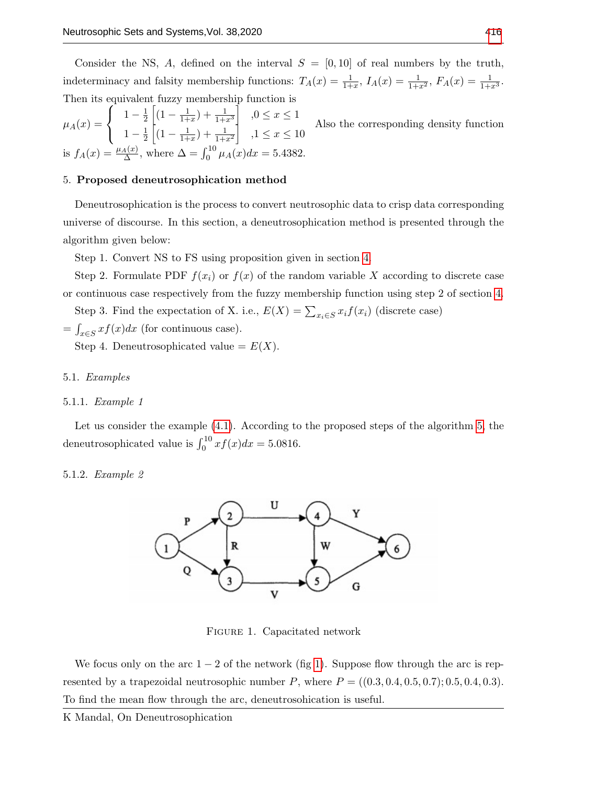Consider the NS, A, defined on the interval  $S = [0, 10]$  of real numbers by the truth, indeterminacy and falsity membership functions:  $T_A(x) = \frac{1}{1+x}$ ,  $I_A(x) = \frac{1}{1+x^2}$ ,  $F_A(x) = \frac{1}{1+x^3}$ . Then its equivalent fuzzy membership function is

 $\mu_A(x) =$  $\sqrt{ }$ J  $\mathcal{L}$  $1-\frac{1}{2}$  $\frac{1}{2}\left[ (1 - \frac{1}{1 + \cdots}) \right]$  $\frac{1}{1+x}$ ) +  $\frac{1}{1+x^3}$ ,  $0 \le x \le 1$  $1-\frac{1}{2}$  $\frac{1}{2}\left[ (1 - \frac{1}{1 + \cdots}) \right]$  $\frac{1}{1+x}$ ) +  $\frac{1}{1+x^2}$ ,  $1 \le x \le 10$ Also the corresponding density function is  $f_A(x) = \frac{\mu_A(x)}{\Delta}$ , where  $\Delta = \int_0^{10} \mu_A(x) dx = 5.4382$ .

## <span id="page-7-0"></span>5. Proposed deneutrosophication method

Deneutrosophication is the process to convert neutrosophic data to crisp data corresponding universe of discourse. In this section, a deneutrosophication method is presented through the algorithm given below:

Step 1. Convert NS to FS using proposition given in section [4.](#page-5-1)

Step 2. Formulate PDF  $f(x_i)$  or  $f(x)$  of the random variable X according to discrete case or continuous case respectively from the fuzzy membership function using step 2 of section [4.](#page-5-1)

Step 3. Find the expectation of X. i.e.,  $E(X) = \sum_{x_i \in S} x_i f(x_i)$  (discrete case)

 $=\int_{x\in S} x f(x) dx$  (for continuous case).

Step 4. Deneutrosophicated value =  $E(X)$ .

#### 5.1. Examples

## 5.1.1. Example 1

Let us consider the example [\(4.1\)](#page-6-1). According to the proposed steps of the algorithm [5,](#page-7-0) the deneutrosophicated value is  $\int_0^{10} x f(x) dx = 5.0816$ .

## <span id="page-7-1"></span>5.1.2. Example 2



Figure 1. Capacitated network

We focus only on the arc  $1 - 2$  of the network (fig [1\)](#page-7-1). Suppose flow through the arc is represented by a trapezoidal neutrosophic number P, where  $P = ((0.3, 0.4, 0.5, 0.7); 0.5, 0.4, 0.3)$ . To find the mean flow through the arc, deneutrosohication is useful.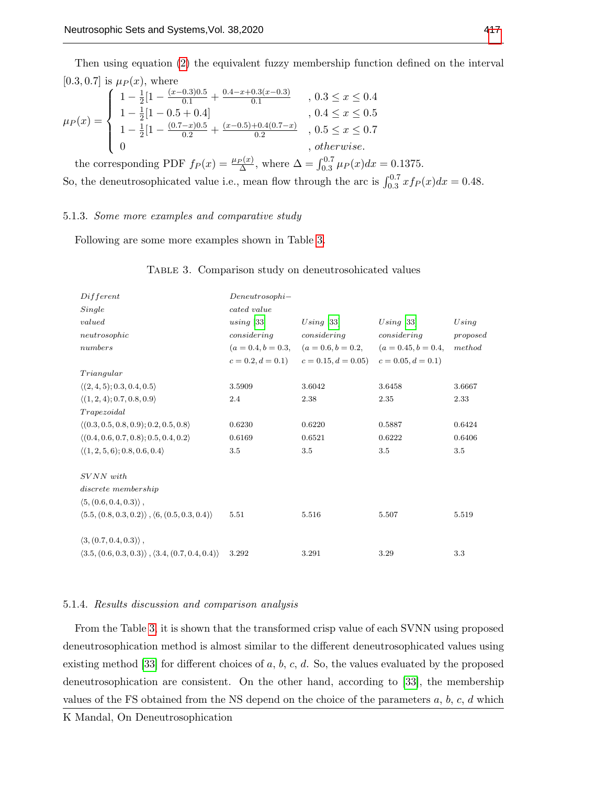Then using equation [\(2\)](#page-5-0) the equivalent fuzzy membership function defined on the interval [0.3, 0.7] is  $\mu_P(x)$ , where

$$
\mu_P(x) = \begin{cases}\n1 - \frac{1}{2}[1 - \frac{(x - 0.3)0.5}{0.1} + \frac{0.4 - x + 0.3(x - 0.3)}{0.1}, 0.3 \leq x \leq 0.4 \\
1 - \frac{1}{2}[1 - 0.5 + 0.4] \\
1 - \frac{1}{2}[1 - \frac{(0.7 - x)0.5}{0.2} + \frac{(x - 0.5) + 0.4(0.7 - x)}{0.2}, 0.5 \leq x \leq 0.7 \\
0, \quad \text{otherwise.} \n\end{cases}
$$

the corresponding PDF  $f_P(x) = \frac{\mu_P(x)}{\Delta}$ , where  $\Delta = \int_{0.3}^{0.7} \mu_P(x) dx = 0.1375$ . So, the deneutrosophicated value i.e., mean flow through the arc is  $\int_{0.3}^{0.7} x f_P(x) dx = 0.48$ .

#### 5.1.3. Some more examples and comparative study

<span id="page-8-0"></span>Following are some more examples shown in Table [3.](#page-8-0)

| Different                                                                       | $Denewtrosophi -$ |                                                                         |             |          |
|---------------------------------------------------------------------------------|-------------------|-------------------------------------------------------------------------|-------------|----------|
| Single                                                                          | cated value       |                                                                         |             |          |
| valued                                                                          | using [33]        | Using [33]                                                              | Using [33]  | Using    |
| neutronophic                                                                    | considering       | considering                                                             | considering | proposed |
| numbers                                                                         |                   | $(a = 0.4, b = 0.3, \quad (a = 0.6, b = 0.2, \quad (a = 0.45, b = 0.4,$ |             | method   |
|                                                                                 |                   | $c = 0.2, d = 0.1$ $c = 0.15, d = 0.05$ $c = 0.05, d = 0.1$             |             |          |
| Triangular                                                                      |                   |                                                                         |             |          |
| $\langle (2,4,5); 0.3, 0.4, 0.5 \rangle$                                        | 3.5909            | 3.6042                                                                  | 3.6458      | 3.6667   |
| $\langle (1,2,4); 0.7, 0.8, 0.9 \rangle$                                        | 2.4               | 2.38                                                                    | 2.35        | 2.33     |
| Trapezoidal                                                                     |                   |                                                                         |             |          |
| $\langle (0.3, 0.5, 0.8, 0.9), 0.2, 0.5, 0.8 \rangle$                           | 0.6230            | 0.6220                                                                  | 0.5887      | 0.6424   |
| $\langle (0.4, 0.6, 0.7, 0.8), 0.5, 0.4, 0.2 \rangle$                           | 0.6169            | 0.6521                                                                  | 0.6222      | 0.6406   |
| $\langle (1,2,5,6); 0.8, 0.6, 0.4 \rangle$                                      | 3.5               | 3.5                                                                     | 3.5         | 3.5      |
| $S VNN$ with                                                                    |                   |                                                                         |             |          |
| discrete membership                                                             |                   |                                                                         |             |          |
| $\langle 5, (0.6, 0.4, 0.3) \rangle$ ,                                          |                   |                                                                         |             |          |
| $(5.5, (0.8, 0.3, 0.2))$ , $(6, (0.5, 0.3, 0.4))$                               | 5.51              | 5.516                                                                   | 5.507       | 5.519    |
| $\langle 3, (0.7, 0.4, 0.3) \rangle$ ,                                          |                   |                                                                         |             |          |
| $\langle 3.5, (0.6, 0.3, 0.3) \rangle$ , $\langle 3.4, (0.7, 0.4, 0.4) \rangle$ | 3.292             | 3.291                                                                   | 3.29        | 3.3      |

#### Table 3. Comparison study on deneutrosohicated values

## 5.1.4. Results discussion and comparison analysis

From the Table [3,](#page-8-0) it is shown that the transformed crisp value of each SVNN using proposed deneutrosophication method is almost similar to the different deneutrosophicated values using existing method [\[33\]](#page-12-11) for different choices of  $a, b, c, d$ . So, the values evaluated by the proposed deneutrosophication are consistent. On the other hand, according to [\[33\]](#page-12-11), the membership values of the FS obtained from the NS depend on the choice of the parameters  $a, b, c, d$  which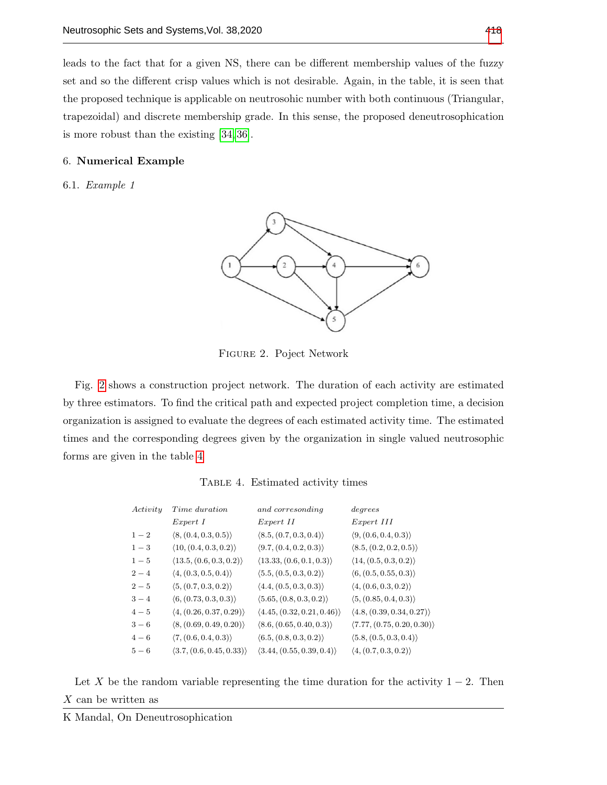leads to the fact that for a given NS, there can be different membership values of the fuzzy set and so the different crisp values which is not desirable. Again, in the table, it is seen that the proposed technique is applicable on neutrosohic number with both continuous (Triangular, trapezoidal) and discrete membership grade. In this sense, the proposed deneutrosophication is more robust than the existing [\[34,](#page-12-12) [36\]](#page-13-1).

#### 6. Numerical Example

<span id="page-9-0"></span>6.1. Example 1



Figure 2. Poject Network

Fig. [2](#page-9-0) shows a construction project network. The duration of each activity are estimated by three estimators. To find the critical path and expected project completion time, a decision organization is assigned to evaluate the degrees of each estimated activity time. The estimated times and the corresponding degrees given by the organization in single valued neutrosophic forms are given in the table [4](#page-9-1)

Table 4. Estimated activity times

<span id="page-9-1"></span>

| Activity | Time duration                            | and corresonding                           | degrees                                   |
|----------|------------------------------------------|--------------------------------------------|-------------------------------------------|
|          | Expert I                                 | Expert II                                  | $Expert\ III$                             |
| $1 - 2$  | $\langle 8, (0.4, 0.3, 0.5) \rangle$     | $\langle 8.5, (0.7, 0.3, 0.4) \rangle$     | $\langle 9, (0.6, 0.4, 0.3) \rangle$      |
| $1 - 3$  | $\langle 10, (0.4, 0.3, 0.2) \rangle$    | $\langle 9.7, (0.4, 0.2, 0.3) \rangle$     | $\langle 8.5, (0.2, 0.2, 0.5) \rangle$    |
| $1-5$    | $\langle 13.5, (0.6, 0.3, 0.2) \rangle$  | $\langle 13.33, (0.6, 0.1, 0.3) \rangle$   | $\langle 14, (0.5, 0.3, 0.2) \rangle$     |
| $2 - 4$  | $\langle 4, (0.3, 0.5, 0.4) \rangle$     | $\langle 5.5, (0.5, 0.3, 0.2) \rangle$     | $\langle 6, (0.5, 0.55, 0.3) \rangle$     |
| $2-5$    | $\langle 5, (0.7, 0.3, 0.2) \rangle$     | $\langle 4.4, (0.5, 0.3, 0.3) \rangle$     | $\langle 4, (0.6, 0.3, 0.2) \rangle$      |
| $3 - 4$  | $\langle 6, (0.73, 0.3, 0.3) \rangle$    | (5.65, (0.8, 0.3, 0.2))                    | $\langle 5, (0.85, 0.4, 0.3) \rangle$     |
| $4-5$    | $\langle 4, (0.26, 0.37, 0.29) \rangle$  | $\langle 4.45, (0.32, 0.21, 0.46) \rangle$ | $\langle 4.8, (0.39, 0.34, 0.27) \rangle$ |
| $3-6$    | $\langle 8, (0.69, 0.49, 0.20) \rangle$  | $\langle 8.6, (0.65, 0.40, 0.3) \rangle$   | (7.77, (0.75, 0.20, 0.30))                |
| $4 - 6$  | $\langle 7, (0.6, 0.4, 0.3) \rangle$     | $\langle 6.5, (0.8, 0.3, 0.2) \rangle$     | $\langle 5.8, (0.5, 0.3, 0.4) \rangle$    |
| $5-6$    | $\langle 3.7, (0.6, 0.45, 0.33) \rangle$ | $\langle 3.44, (0.55, 0.39, 0.4) \rangle$  | $\langle 4, (0.7, 0.3, 0.2) \rangle$      |
|          |                                          |                                            |                                           |

Let X be the random variable representing the time duration for the activity  $1 - 2$ . Then X can be written as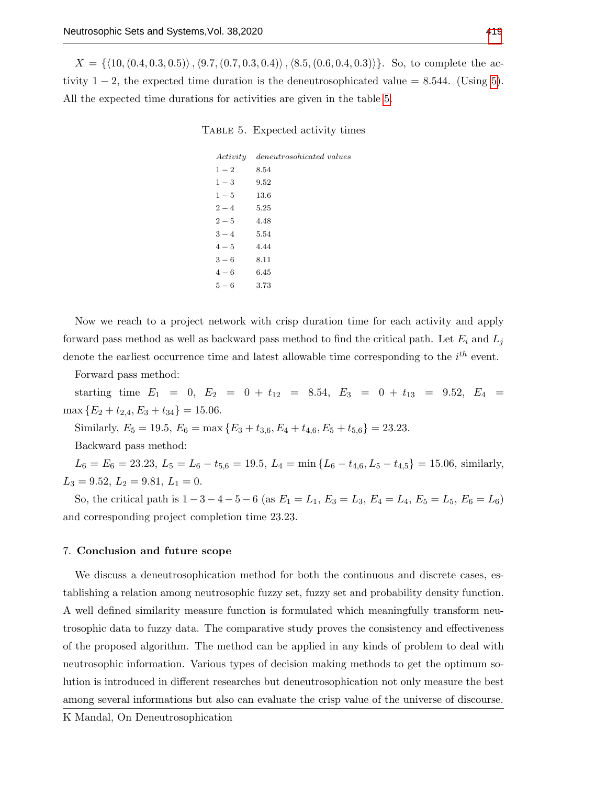<span id="page-10-0"></span> $X = \{(10,(0.4, 0.3, 0.5)), (9.7,(0.7, 0.3, 0.4)), (8.5,(0.6, 0.4, 0.3))\}.$  So, to complete the activity  $1 - 2$ , the expected time duration is the deneutrosophicated value = 8.544. (Using [5\)](#page-7-0). All the expected time durations for activities are given in the table [5.](#page-10-0)

## Table 5. Expected activity times

|         | Activity deneutrosohicated values |
|---------|-----------------------------------|
| $1-2$   | 8.54                              |
| $1-3$   | 9.52                              |
| $1 - 5$ | 13.6                              |
| $2 - 4$ | 5.25                              |
| $2 - 5$ | 4.48                              |
| $3 - 4$ | 5.54                              |
| $4 - 5$ | 4.44                              |
| $3-6$   | 8.11                              |
| $4 - 6$ | 6.45                              |
| $5-6$   | 3.73                              |
|         |                                   |

Now we reach to a project network with crisp duration time for each activity and apply forward pass method as well as backward pass method to find the critical path. Let  $E_i$  and  $L_j$ denote the earliest occurrence time and latest allowable time corresponding to the  $i^{th}$  event.

Forward pass method:

starting time  $E_1 = 0$ ,  $E_2 = 0 + t_{12} = 8.54$ ,  $E_3 = 0 + t_{13} = 9.52$ ,  $E_4 =$  $\max \{E_2 + t_{2,4}, E_3 + t_{34}\} = 15.06.$ 

Similarly,  $E_5 = 19.5$ ,  $E_6 = \max\left\{E_3 + t_{3,6}, E_4 + t_{4,6}, E_5 + t_{5,6}\right\} = 23.23$ .

Backward pass method:

 $L_6 = E_6 = 23.23, L_5 = L_6 - t_{5,6} = 19.5, L_4 = \min\{L_6 - t_{4,6}, L_5 - t_{4,5}\} = 15.06,$  similarly,  $L_3 = 9.52, L_2 = 9.81, L_1 = 0.$ 

So, the critical path is  $1 - 3 - 4 - 5 - 6$  (as  $E_1 = L_1$ ,  $E_3 = L_3$ ,  $E_4 = L_4$ ,  $E_5 = L_5$ ,  $E_6 = L_6$ ) and corresponding project completion time 23.23.

## 7. Conclusion and future scope

We discuss a deneutrosophication method for both the continuous and discrete cases, establishing a relation among neutrosophic fuzzy set, fuzzy set and probability density function. A well defined similarity measure function is formulated which meaningfully transform neutrosophic data to fuzzy data. The comparative study proves the consistency and effectiveness of the proposed algorithm. The method can be applied in any kinds of problem to deal with neutrosophic information. Various types of decision making methods to get the optimum solution is introduced in different researches but deneutrosophication not only measure the best among several informations but also can evaluate the crisp value of the universe of discourse.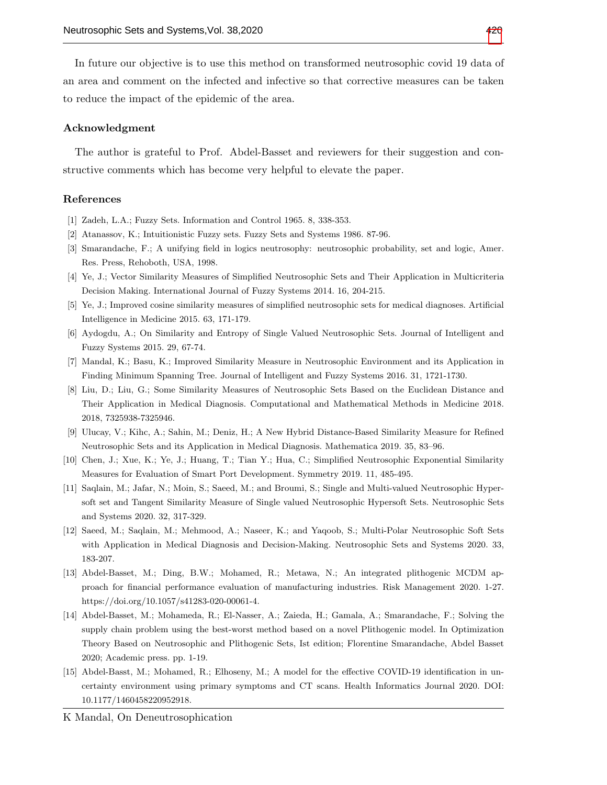In future our objective is to use this method on transformed neutrosophic covid 19 data of an area and comment on the infected and infective so that corrective measures can be taken to reduce the impact of the epidemic of the area.

#### Acknowledgment

The author is grateful to Prof. Abdel-Basset and reviewers for their suggestion and constructive comments which has become very helpful to elevate the paper.

## References

- <span id="page-11-0"></span>[1] Zadeh, L.A.; Fuzzy Sets. Information and Control 1965. 8, 338-353.
- <span id="page-11-1"></span>[2] Atanassov, K.; Intuitionistic Fuzzy sets. Fuzzy Sets and Systems 1986. 87-96.
- <span id="page-11-2"></span>[3] Smarandache, F.; A unifying field in logics neutrosophy: neutrosophic probability, set and logic, Amer. Res. Press, Rehoboth, USA, 1998.
- <span id="page-11-3"></span>[4] Ye, J.; Vector Similarity Measures of Simplified Neutrosophic Sets and Their Application in Multicriteria Decision Making. International Journal of Fuzzy Systems 2014. 16, 204-215.
- <span id="page-11-4"></span>[5] Ye, J.; Improved cosine similarity measures of simplified neutrosophic sets for medical diagnoses. Artificial Intelligence in Medicine 2015. 63, 171-179.
- <span id="page-11-5"></span>[6] Aydogdu, A.; On Similarity and Entropy of Single Valued Neutrosophic Sets. Journal of Intelligent and Fuzzy Systems 2015. 29, 67-74.
- <span id="page-11-6"></span>[7] Mandal, K.; Basu, K.; Improved Similarity Measure in Neutrosophic Environment and its Application in Finding Minimum Spanning Tree. Journal of Intelligent and Fuzzy Systems 2016. 31, 1721-1730.
- <span id="page-11-7"></span>[8] Liu, D.; Liu, G.; Some Similarity Measures of Neutrosophic Sets Based on the Euclidean Distance and Their Application in Medical Diagnosis. Computational and Mathematical Methods in Medicine 2018. 2018, 7325938-7325946.
- <span id="page-11-8"></span>[9] Ulucay, V.; Kihc, A.; Sahin, M.; Deniz, H.; A New Hybrid Distance-Based Similarity Measure for Refined Neutrosophic Sets and its Application in Medical Diagnosis. Mathematica 2019. 35, 83–96.
- <span id="page-11-9"></span>[10] Chen, J.; Xue, K.; Ye, J.; Huang, T.; Tian Y.; Hua, C.; Simplified Neutrosophic Exponential Similarity Measures for Evaluation of Smart Port Development. Symmetry 2019. 11, 485-495.
- <span id="page-11-10"></span>[11] Saqlain, M.; Jafar, N.; Moin, S.; Saeed, M.; and Broumi, S.; Single and Multi-valued Neutrosophic Hypersoft set and Tangent Similarity Measure of Single valued Neutrosophic Hypersoft Sets. Neutrosophic Sets and Systems 2020. 32, 317-329.
- <span id="page-11-11"></span>[12] Saeed, M.; Saqlain, M.; Mehmood, A.; Naseer, K.; and Yaqoob, S.; Multi-Polar Neutrosophic Soft Sets with Application in Medical Diagnosis and Decision-Making. Neutrosophic Sets and Systems 2020. 33, 183-207.
- <span id="page-11-12"></span>[13] Abdel-Basset, M.; Ding, B.W.; Mohamed, R.; Metawa, N.; An integrated plithogenic MCDM approach for financial performance evaluation of manufacturing industries. Risk Management 2020. 1-27. https://doi.org/10.1057/s41283-020-00061-4.
- <span id="page-11-13"></span>[14] Abdel-Basset, M.; Mohameda, R.; El-Nasser, A.; Zaieda, H.; Gamala, A.; Smarandache, F.; Solving the supply chain problem using the best-worst method based on a novel Plithogenic model. In Optimization Theory Based on Neutrosophic and Plithogenic Sets, Ist edition; Florentine Smarandache, Abdel Basset 2020; Academic press. pp. 1-19.
- <span id="page-11-14"></span>[15] Abdel-Basst, M.; Mohamed, R.; Elhoseny, M.; A model for the effective COVID-19 identification in uncertainty environment using primary symptoms and CT scans. Health Informatics Journal 2020. DOI: 10.1177/1460458220952918.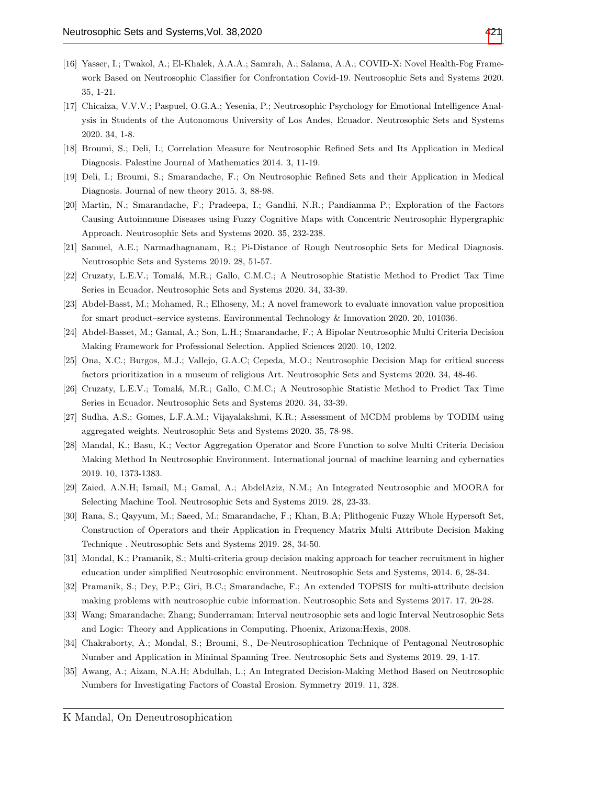- <span id="page-12-0"></span>[16] Yasser, I.; Twakol, A.; El-Khalek, A.A.A.; Samrah, A.; Salama, A.A.; COVID-X: Novel Health-Fog Framework Based on Neutrosophic Classifier for Confrontation Covid-19. Neutrosophic Sets and Systems 2020. 35, 1-21.
- <span id="page-12-1"></span>[17] Chicaiza, V.V.V.; Paspuel, O.G.A.; Yesenia, P.; Neutrosophic Psychology for Emotional Intelligence Analysis in Students of the Autonomous University of Los Andes, Ecuador. Neutrosophic Sets and Systems 2020. 34, 1-8.
- <span id="page-12-2"></span>[18] Broumi, S.; Deli, I.; Correlation Measure for Neutrosophic Refined Sets and Its Application in Medical Diagnosis. Palestine Journal of Mathematics 2014. 3, 11-19.
- [19] Deli, I.; Broumi, S.; Smarandache, F.; On Neutrosophic Refined Sets and their Application in Medical Diagnosis. Journal of new theory 2015. 3, 88-98.
- [20] Martin, N.; Smarandache, F.; Pradeepa, I.; Gandhi, N.R.; Pandiamma P.; Exploration of the Factors Causing Autoimmune Diseases using Fuzzy Cognitive Maps with Concentric Neutrosophic Hypergraphic Approach. Neutrosophic Sets and Systems 2020. 35, 232-238.
- <span id="page-12-3"></span>[21] Samuel, A.E.; Narmadhagnanam, R.; Pi-Distance of Rough Neutrosophic Sets for Medical Diagnosis. Neutrosophic Sets and Systems 2019. 28, 51-57.
- [22] Cruzaty, L.E.V.; Tomalá, M.R.; Gallo, C.M.C.; A Neutrosophic Statistic Method to Predict Tax Time Series in Ecuador. Neutrosophic Sets and Systems 2020. 34, 33-39.
- <span id="page-12-4"></span>[23] Abdel-Basst, M.; Mohamed, R.; Elhoseny, M.; A novel framework to evaluate innovation value proposition for smart product–service systems. Environmental Technology & Innovation 2020. 20, 101036.
- <span id="page-12-5"></span>[24] Abdel-Basset, M.; Gamal, A.; Son, L.H.; Smarandache, F.; A Bipolar Neutrosophic Multi Criteria Decision Making Framework for Professional Selection. Applied Sciences 2020. 10, 1202.
- <span id="page-12-6"></span>[25] Ona, X.C.; Burgos, M.J.; Vallejo, G.A.C; Cepeda, M.O.; Neutrosophic Decision Map for critical success factors prioritization in a museum of religious Art. Neutrosophic Sets and Systems 2020. 34, 48-46.
- <span id="page-12-7"></span>[26] Cruzaty, L.E.V.; Tomalá, M.R.; Gallo, C.M.C.; A Neutrosophic Statistic Method to Predict Tax Time Series in Ecuador. Neutrosophic Sets and Systems 2020. 34, 33-39.
- <span id="page-12-8"></span>[27] Sudha, A.S.; Gomes, L.F.A.M.; Vijayalakshmi, K.R.; Assessment of MCDM problems by TODIM using aggregated weights. Neutrosophic Sets and Systems 2020. 35, 78-98.
- <span id="page-12-9"></span>[28] Mandal, K.; Basu, K.; Vector Aggregation Operator and Score Function to solve Multi Criteria Decision Making Method In Neutrosophic Environment. International journal of machine learning and cybernatics 2019. 10, 1373-1383.
- [29] Zaied, A.N.H; Ismail, M.; Gamal, A.; AbdelAziz, N.M.; An Integrated Neutrosophic and MOORA for Selecting Machine Tool. Neutrosophic Sets and Systems 2019. 28, 23-33.
- [30] Rana, S.; Qayyum, M.; Saeed, M.; Smarandache, F.; Khan, B.A; Plithogenic Fuzzy Whole Hypersoft Set, Construction of Operators and their Application in Frequency Matrix Multi Attribute Decision Making Technique . Neutrosophic Sets and Systems 2019. 28, 34-50.
- [31] Mondal, K.; Pramanik, S.; Multi-criteria group decision making approach for teacher recruitment in higher education under simplified Neutrosophic environment. Neutrosophic Sets and Systems, 2014. 6, 28-34.
- <span id="page-12-10"></span>[32] Pramanik, S.; Dey, P.P.; Giri, B.C.; Smarandache, F.; An extended TOPSIS for multi-attribute decision making problems with neutrosophic cubic information. Neutrosophic Sets and Systems 2017. 17, 20-28.
- <span id="page-12-11"></span>[33] Wang; Smarandache; Zhang; Sunderraman; Interval neutrosophic sets and logic Interval Neutrosophic Sets and Logic: Theory and Applications in Computing. Phoenix, Arizona:Hexis, 2008.
- <span id="page-12-12"></span>[34] Chakraborty, A.; Mondal, S.; Broumi, S., De-Neutrosophication Technique of Pentagonal Neutrosophic Number and Application in Minimal Spanning Tree. Neutrosophic Sets and Systems 2019. 29, 1-17.
- <span id="page-12-13"></span>[35] Awang, A.; Aizam, N.A.H; Abdullah, L.; An Integrated Decision-Making Method Based on Neutrosophic Numbers for Investigating Factors of Coastal Erosion. Symmetry 2019. 11, 328.